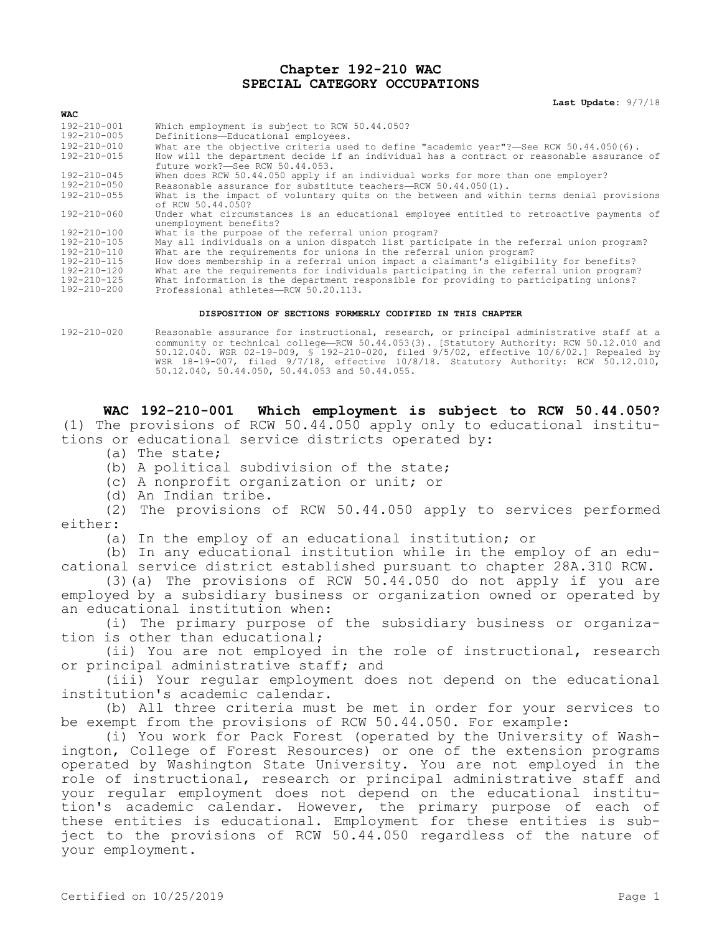## **Chapter 192-210 WAC SPECIAL CATEGORY OCCUPATIONS**

**Last Update:** 9/7/18

| <b>WAC</b>        |                                                                                                                              |
|-------------------|------------------------------------------------------------------------------------------------------------------------------|
| 192-210-001       | Which employment is subject to RCW 50.44.050?                                                                                |
| 192-210-005       | Definitions-Educational employees.                                                                                           |
| 192-210-010       | What are the objective criteria used to define "academic year"?—See RCW 50.44.050(6).                                        |
| 192-210-015       | How will the department decide if an individual has a contract or reasonable assurance of<br>future work?-See RCW 50.44.053. |
| 192-210-045       | When does RCW 50.44.050 apply if an individual works for more than one employer?                                             |
| 192-210-050       | Reasonable assurance for substitute teachers-RCW 50.44.050(1).                                                               |
| $192 - 210 - 055$ | What is the impact of voluntary quits on the between and within terms denial provisions<br>of RCW 50.44.050?                 |
| 192-210-060       | Under what circumstances is an educational employee entitled to retroactive payments of<br>unemployment benefits?            |
| 192-210-100       | What is the purpose of the referral union program?                                                                           |
| $192 - 210 - 105$ | May all individuals on a union dispatch list participate in the referral union program?                                      |
| $192 - 210 - 110$ | What are the requirements for unions in the referral union program?                                                          |
| 192-210-115       | How does membership in a referral union impact a claimant's eligibility for benefits?                                        |
| $192 - 210 - 120$ | What are the requirements for individuals participating in the referral union program?                                       |
| 192-210-125       | What information is the department responsible for providing to participating unions?                                        |
| $192 - 210 - 200$ | Professional athletes—RCW 50.20.113.                                                                                         |

## **DISPOSITION OF SECTIONS FORMERLY CODIFIED IN THIS CHAPTER**

192-210-020 Reasonable assurance for instructional, research, or principal administrative staff at a community or technical college—RCW 50.44.053(3). [Statutory Authority: RCW 50.12.010 and 50.12.040. WSR 02-19-009, § 192-210-020, filed 9/5/02, effective 10/6/02.] Repealed by WSR 18-19-007, filed 9/7/18, effective 10/8/18. Statutory Authority: RCW 50.12.010, 50.12.040, 50.44.050, 50.44.053 and 50.44.055.

**WAC 192-210-001 Which employment is subject to RCW 50.44.050?**  (1) The provisions of RCW 50.44.050 apply only to educational institutions or educational service districts operated by:

- (a) The state;
- (b) A political subdivision of the state;
- (c) A nonprofit organization or unit; or
- (d) An Indian tribe.

(2) The provisions of RCW 50.44.050 apply to services performed either:

(a) In the employ of an educational institution; or

(b) In any educational institution while in the employ of an educational service district established pursuant to chapter 28A.310 RCW.

(3)(a) The provisions of RCW 50.44.050 do not apply if you are employed by a subsidiary business or organization owned or operated by an educational institution when:

(i) The primary purpose of the subsidiary business or organization is other than educational;

(ii) You are not employed in the role of instructional, research or principal administrative staff; and

(iii) Your regular employment does not depend on the educational institution's academic calendar.

(b) All three criteria must be met in order for your services to be exempt from the provisions of RCW 50.44.050. For example:

(i) You work for Pack Forest (operated by the University of Washington, College of Forest Resources) or one of the extension programs operated by Washington State University. You are not employed in the role of instructional, research or principal administrative staff and your regular employment does not depend on the educational institution's academic calendar. However, the primary purpose of each of these entities is educational. Employment for these entities is subject to the provisions of RCW 50.44.050 regardless of the nature of your employment.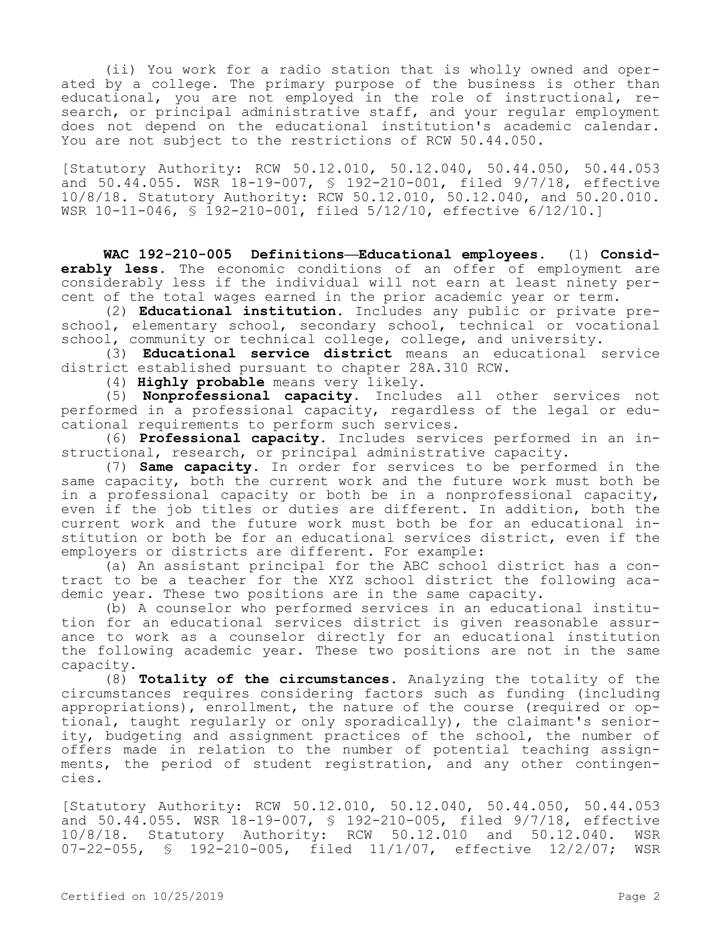(ii) You work for a radio station that is wholly owned and operated by a college. The primary purpose of the business is other than educational, you are not employed in the role of instructional, research, or principal administrative staff, and your regular employment does not depend on the educational institution's academic calendar. You are not subject to the restrictions of RCW 50.44.050.

[Statutory Authority: RCW 50.12.010, 50.12.040, 50.44.050, 50.44.053 and 50.44.055. WSR 18-19-007, § 192-210-001, filed 9/7/18, effective 10/8/18. Statutory Authority: RCW 50.12.010, 50.12.040, and 50.20.010. WSR 10-11-046, § 192-210-001, filed 5/12/10, effective 6/12/10.]

**WAC 192-210-005 Definitions—Educational employees.** (1) **Considerably less.** The economic conditions of an offer of employment are considerably less if the individual will not earn at least ninety percent of the total wages earned in the prior academic year or term.

(2) **Educational institution.** Includes any public or private preschool, elementary school, secondary school, technical or vocational school, community or technical college, college, and university.

(3) **Educational service district** means an educational service district established pursuant to chapter 28A.310 RCW.

(4) **Highly probable** means very likely.

(5) **Nonprofessional capacity.** Includes all other services not performed in a professional capacity, regardless of the legal or educational requirements to perform such services.

(6) **Professional capacity.** Includes services performed in an instructional, research, or principal administrative capacity.

(7) **Same capacity.** In order for services to be performed in the same capacity, both the current work and the future work must both be in a professional capacity or both be in a nonprofessional capacity, even if the job titles or duties are different. In addition, both the current work and the future work must both be for an educational institution or both be for an educational services district, even if the employers or districts are different. For example:

(a) An assistant principal for the ABC school district has a contract to be a teacher for the XYZ school district the following academic year. These two positions are in the same capacity.

(b) A counselor who performed services in an educational institution for an educational services district is given reasonable assurance to work as a counselor directly for an educational institution the following academic year. These two positions are not in the same capacity.

(8) **Totality of the circumstances.** Analyzing the totality of the circumstances requires considering factors such as funding (including appropriations), enrollment, the nature of the course (required or optional, taught regularly or only sporadically), the claimant's seniority, budgeting and assignment practices of the school, the number of offers made in relation to the number of potential teaching assignments, the period of student registration, and any other contingencies.

[Statutory Authority: RCW 50.12.010, 50.12.040, 50.44.050, 50.44.053 and 50.44.055. WSR 18-19-007, § 192-210-005, filed 9/7/18, effective 10/8/18. Statutory Authority: RCW 50.12.010 and 50.12.040. WSR 07-22-055, § 192-210-005, filed 11/1/07, effective 12/2/07; WSR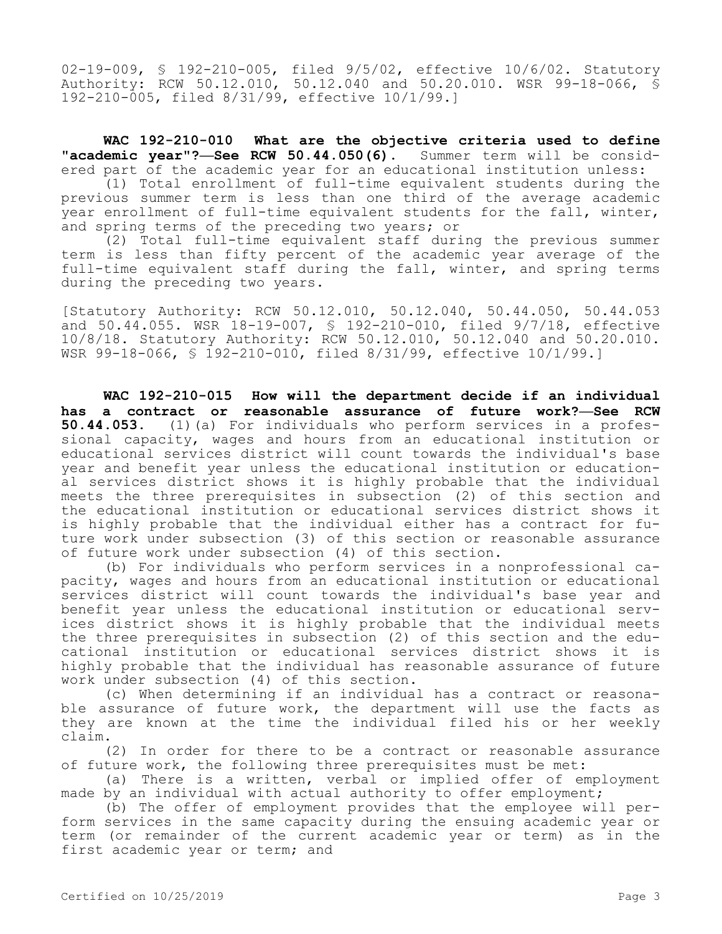02-19-009, § 192-210-005, filed 9/5/02, effective 10/6/02. Statutory Authority: RCW 50.12.010, 50.12.040 and 50.20.010. WSR 99-18-066, § 192-210-005, filed 8/31/99, effective 10/1/99.]

**WAC 192-210-010 What are the objective criteria used to define "academic year"?—See RCW 50.44.050(6).** Summer term will be considered part of the academic year for an educational institution unless:

(1) Total enrollment of full-time equivalent students during the previous summer term is less than one third of the average academic year enrollment of full-time equivalent students for the fall, winter, and spring terms of the preceding two years; or

(2) Total full-time equivalent staff during the previous summer term is less than fifty percent of the academic year average of the full-time equivalent staff during the fall, winter, and spring terms during the preceding two years.

[Statutory Authority: RCW 50.12.010, 50.12.040, 50.44.050, 50.44.053 and 50.44.055. WSR 18-19-007, § 192-210-010, filed 9/7/18, effective 10/8/18. Statutory Authority: RCW 50.12.010, 50.12.040 and 50.20.010. WSR 99-18-066, § 192-210-010, filed 8/31/99, effective 10/1/99.]

**WAC 192-210-015 How will the department decide if an individual has a contract or reasonable assurance of future work?—See RCW 50.44.053.** (1)(a) For individuals who perform services in a professional capacity, wages and hours from an educational institution or educational services district will count towards the individual's base year and benefit year unless the educational institution or educational services district shows it is highly probable that the individual meets the three prerequisites in subsection (2) of this section and the educational institution or educational services district shows it is highly probable that the individual either has a contract for future work under subsection (3) of this section or reasonable assurance of future work under subsection (4) of this section.

(b) For individuals who perform services in a nonprofessional capacity, wages and hours from an educational institution or educational services district will count towards the individual's base year and benefit year unless the educational institution or educational services district shows it is highly probable that the individual meets the three prerequisites in subsection (2) of this section and the educational institution or educational services district shows it is highly probable that the individual has reasonable assurance of future work under subsection (4) of this section.

(c) When determining if an individual has a contract or reasonable assurance of future work, the department will use the facts as they are known at the time the individual filed his or her weekly claim.

(2) In order for there to be a contract or reasonable assurance of future work, the following three prerequisites must be met:

(a) There is a written, verbal or implied offer of employment made by an individual with actual authority to offer employment;

(b) The offer of employment provides that the employee will perform services in the same capacity during the ensuing academic year or term (or remainder of the current academic year or term) as in the first academic year or term; and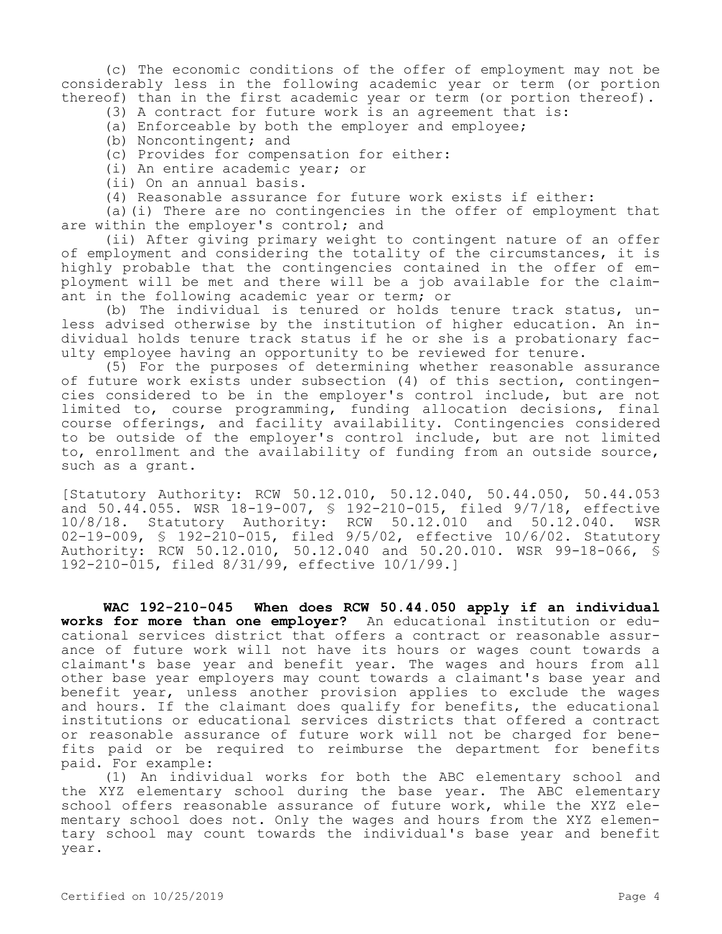(c) The economic conditions of the offer of employment may not be considerably less in the following academic year or term (or portion thereof) than in the first academic year or term (or portion thereof).

- (3) A contract for future work is an agreement that is:
- (a) Enforceable by both the employer and employee;
- (b) Noncontingent; and
- (c) Provides for compensation for either:
- (i) An entire academic year; or
- (ii) On an annual basis.
- (4) Reasonable assurance for future work exists if either:

(a)(i) There are no contingencies in the offer of employment that are within the employer's control; and

(ii) After giving primary weight to contingent nature of an offer of employment and considering the totality of the circumstances, it is highly probable that the contingencies contained in the offer of employment will be met and there will be a job available for the claimant in the following academic year or term; or

(b) The individual is tenured or holds tenure track status, unless advised otherwise by the institution of higher education. An individual holds tenure track status if he or she is a probationary faculty employee having an opportunity to be reviewed for tenure.

(5) For the purposes of determining whether reasonable assurance of future work exists under subsection (4) of this section, contingencies considered to be in the employer's control include, but are not limited to, course programming, funding allocation decisions, final course offerings, and facility availability. Contingencies considered to be outside of the employer's control include, but are not limited to, enrollment and the availability of funding from an outside source, such as a grant.

[Statutory Authority: RCW 50.12.010, 50.12.040, 50.44.050, 50.44.053 and 50.44.055. WSR 18-19-007, § 192-210-015, filed 9/7/18, effective 10/8/18. Statutory Authority: RCW 50.12.010 and 50.12.040. WSR 02-19-009, § 192-210-015, filed 9/5/02, effective 10/6/02. Statutory Authority: RCW 50.12.010, 50.12.040 and 50.20.010. WSR 99-18-066, § 192-210-015, filed 8/31/99, effective 10/1/99.]

**WAC 192-210-045 When does RCW 50.44.050 apply if an individual works for more than one employer?** An educational institution or educational services district that offers a contract or reasonable assurance of future work will not have its hours or wages count towards a claimant's base year and benefit year. The wages and hours from all other base year employers may count towards a claimant's base year and benefit year, unless another provision applies to exclude the wages and hours. If the claimant does qualify for benefits, the educational institutions or educational services districts that offered a contract or reasonable assurance of future work will not be charged for benefits paid or be required to reimburse the department for benefits paid. For example:

(1) An individual works for both the ABC elementary school and the XYZ elementary school during the base year. The ABC elementary school offers reasonable assurance of future work, while the XYZ elementary school does not. Only the wages and hours from the XYZ elementary school may count towards the individual's base year and benefit year.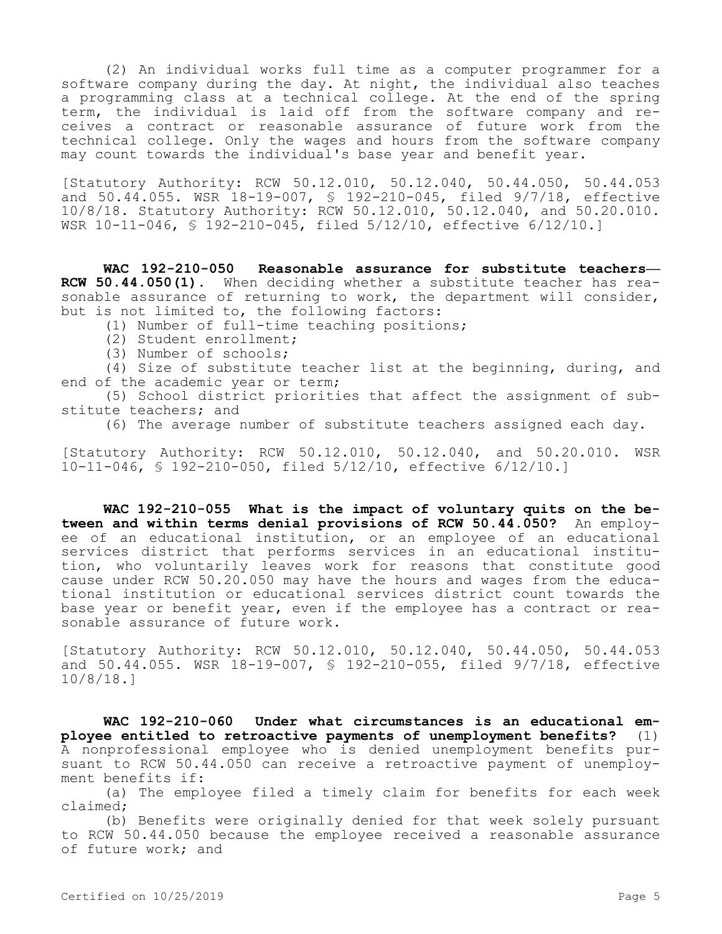(2) An individual works full time as a computer programmer for a software company during the day. At night, the individual also teaches a programming class at a technical college. At the end of the spring term, the individual is laid off from the software company and receives a contract or reasonable assurance of future work from the technical college. Only the wages and hours from the software company may count towards the individual's base year and benefit year.

[Statutory Authority: RCW 50.12.010, 50.12.040, 50.44.050, 50.44.053 and 50.44.055. WSR 18-19-007, § 192-210-045, filed 9/7/18, effective 10/8/18. Statutory Authority: RCW 50.12.010, 50.12.040, and 50.20.010. WSR 10-11-046, § 192-210-045, filed 5/12/10, effective 6/12/10.]

**WAC 192-210-050 Reasonable assurance for substitute teachers— RCW 50.44.050(1).** When deciding whether a substitute teacher has reasonable assurance of returning to work, the department will consider, but is not limited to, the following factors:

(1) Number of full-time teaching positions;

- (2) Student enrollment;
- (3) Number of schools;

(4) Size of substitute teacher list at the beginning, during, and end of the academic year or term;

(5) School district priorities that affect the assignment of substitute teachers; and

(6) The average number of substitute teachers assigned each day.

[Statutory Authority: RCW 50.12.010, 50.12.040, and 50.20.010. WSR 10-11-046, § 192-210-050, filed 5/12/10, effective 6/12/10.]

**WAC 192-210-055 What is the impact of voluntary quits on the between and within terms denial provisions of RCW 50.44.050?** An employee of an educational institution, or an employee of an educational services district that performs services in an educational institution, who voluntarily leaves work for reasons that constitute good cause under RCW 50.20.050 may have the hours and wages from the educational institution or educational services district count towards the base year or benefit year, even if the employee has a contract or reasonable assurance of future work.

[Statutory Authority: RCW 50.12.010, 50.12.040, 50.44.050, 50.44.053 and 50.44.055. WSR 18-19-007, § 192-210-055, filed 9/7/18, effective 10/8/18.]

**WAC 192-210-060 Under what circumstances is an educational employee entitled to retroactive payments of unemployment benefits?** (1) A nonprofessional employee who is denied unemployment benefits pursuant to RCW 50.44.050 can receive a retroactive payment of unemployment benefits if:

(a) The employee filed a timely claim for benefits for each week claimed;

(b) Benefits were originally denied for that week solely pursuant to RCW 50.44.050 because the employee received a reasonable assurance of future work; and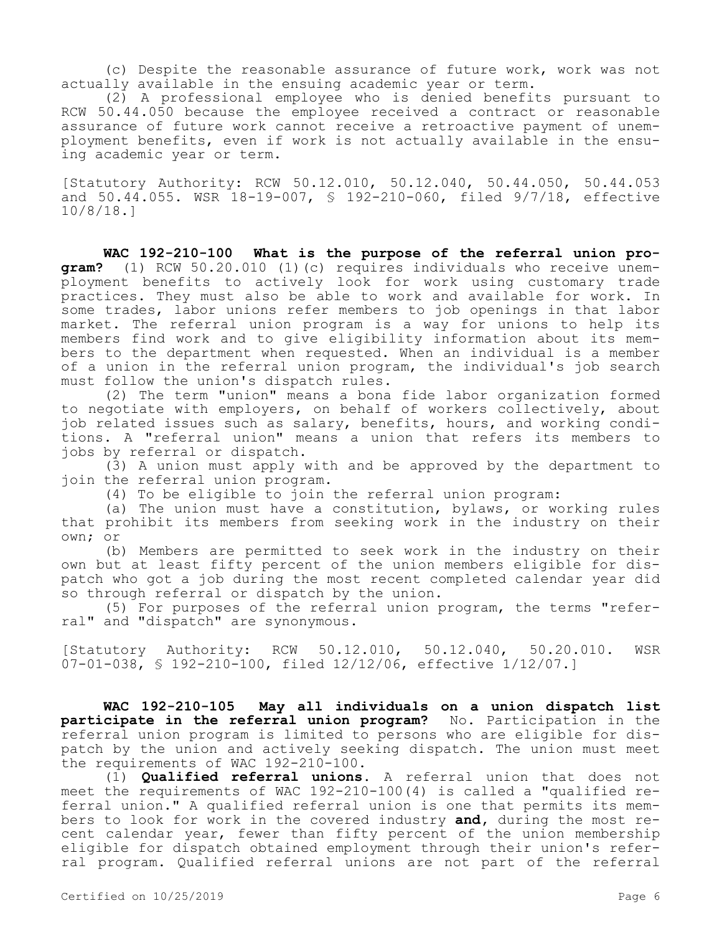(c) Despite the reasonable assurance of future work, work was not actually available in the ensuing academic year or term.

(2) A professional employee who is denied benefits pursuant to RCW 50.44.050 because the employee received a contract or reasonable assurance of future work cannot receive a retroactive payment of unemployment benefits, even if work is not actually available in the ensuing academic year or term.

[Statutory Authority: RCW 50.12.010, 50.12.040, 50.44.050, 50.44.053 and 50.44.055. WSR 18-19-007, § 192-210-060, filed 9/7/18, effective 10/8/18.]

**WAC 192-210-100 What is the purpose of the referral union program?** (1) RCW 50.20.010 (1)(c) requires individuals who receive unemployment benefits to actively look for work using customary trade practices. They must also be able to work and available for work. In some trades, labor unions refer members to job openings in that labor market. The referral union program is a way for unions to help its members find work and to give eligibility information about its members to the department when requested. When an individual is a member of a union in the referral union program, the individual's job search must follow the union's dispatch rules.

(2) The term "union" means a bona fide labor organization formed to negotiate with employers, on behalf of workers collectively, about job related issues such as salary, benefits, hours, and working conditions. A "referral union" means a union that refers its members to jobs by referral or dispatch.

(3) A union must apply with and be approved by the department to join the referral union program.

(4) To be eligible to join the referral union program:

(a) The union must have a constitution, bylaws, or working rules that prohibit its members from seeking work in the industry on their own; or

(b) Members are permitted to seek work in the industry on their own but at least fifty percent of the union members eligible for dispatch who got a job during the most recent completed calendar year did so through referral or dispatch by the union.

(5) For purposes of the referral union program, the terms "referral" and "dispatch" are synonymous.

[Statutory Authority: RCW 50.12.010, 50.12.040, 50.20.010. WSR 07-01-038, § 192-210-100, filed 12/12/06, effective 1/12/07.]

**WAC 192-210-105 May all individuals on a union dispatch list participate in the referral union program?** No. Participation in the referral union program is limited to persons who are eligible for dispatch by the union and actively seeking dispatch. The union must meet the requirements of WAC 192-210-100.

(1) **Qualified referral unions.** A referral union that does not meet the requirements of WAC 192-210-100(4) is called a "qualified referral union." A qualified referral union is one that permits its members to look for work in the covered industry **and,** during the most recent calendar year, fewer than fifty percent of the union membership eligible for dispatch obtained employment through their union's referral program. Qualified referral unions are not part of the referral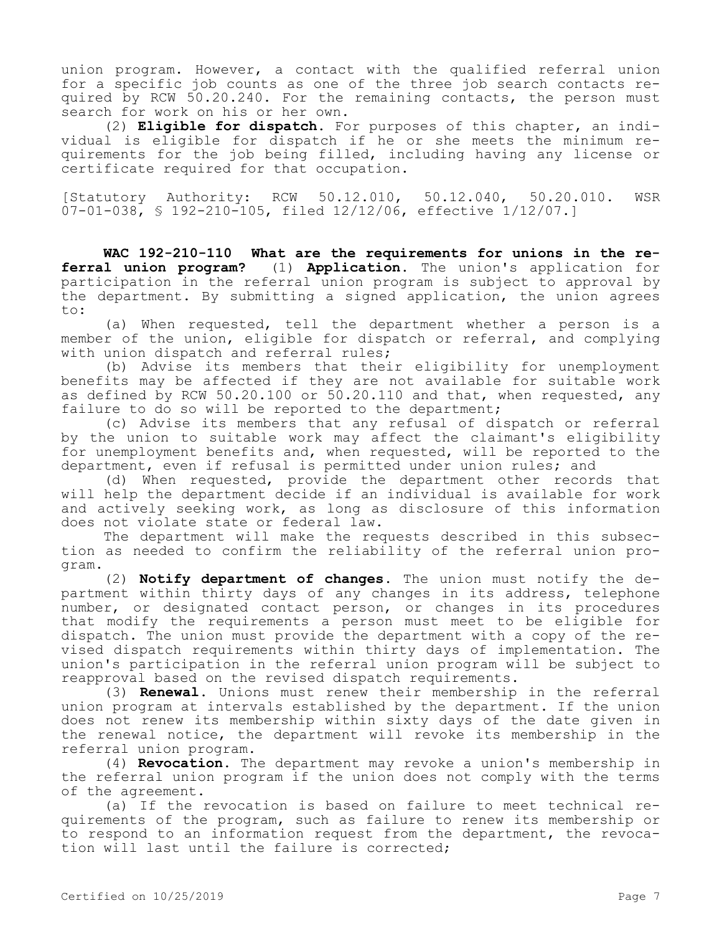union program. However, a contact with the qualified referral union for a specific job counts as one of the three job search contacts required by RCW 50.20.240. For the remaining contacts, the person must search for work on his or her own.

(2) **Eligible for dispatch.** For purposes of this chapter, an individual is eligible for dispatch if he or she meets the minimum requirements for the job being filled, including having any license or certificate required for that occupation.

[Statutory Authority: RCW 50.12.010, 50.12.040, 50.20.010. WSR 07-01-038, § 192-210-105, filed 12/12/06, effective 1/12/07.]

**WAC 192-210-110 What are the requirements for unions in the referral union program?** (1) **Application.** The union's application for participation in the referral union program is subject to approval by the department. By submitting a signed application, the union agrees to:

(a) When requested, tell the department whether a person is a member of the union, eligible for dispatch or referral, and complying with union dispatch and referral rules;

(b) Advise its members that their eligibility for unemployment benefits may be affected if they are not available for suitable work as defined by RCW 50.20.100 or 50.20.110 and that, when requested, any failure to do so will be reported to the department;

(c) Advise its members that any refusal of dispatch or referral by the union to suitable work may affect the claimant's eligibility for unemployment benefits and, when requested, will be reported to the department, even if refusal is permitted under union rules; and

(d) When requested, provide the department other records that will help the department decide if an individual is available for work and actively seeking work, as long as disclosure of this information does not violate state or federal law.

The department will make the requests described in this subsection as needed to confirm the reliability of the referral union program.

(2) **Notify department of changes.** The union must notify the department within thirty days of any changes in its address, telephone number, or designated contact person, or changes in its procedures that modify the requirements a person must meet to be eligible for dispatch. The union must provide the department with a copy of the revised dispatch requirements within thirty days of implementation. The union's participation in the referral union program will be subject to reapproval based on the revised dispatch requirements.

(3) **Renewal.** Unions must renew their membership in the referral union program at intervals established by the department. If the union does not renew its membership within sixty days of the date given in the renewal notice, the department will revoke its membership in the referral union program.

(4) **Revocation.** The department may revoke a union's membership in the referral union program if the union does not comply with the terms of the agreement.

(a) If the revocation is based on failure to meet technical requirements of the program, such as failure to renew its membership or to respond to an information request from the department, the revocation will last until the failure is corrected;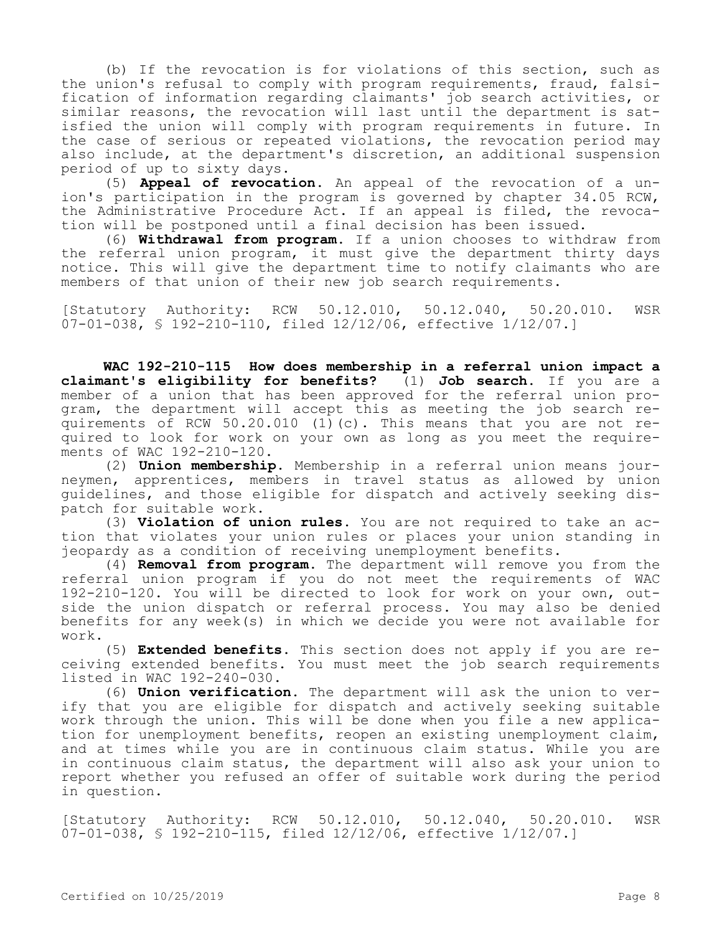(b) If the revocation is for violations of this section, such as the union's refusal to comply with program requirements, fraud, falsification of information regarding claimants' job search activities, or similar reasons, the revocation will last until the department is satisfied the union will comply with program requirements in future. In the case of serious or repeated violations, the revocation period may also include, at the department's discretion, an additional suspension period of up to sixty days.

(5) **Appeal of revocation.** An appeal of the revocation of a union's participation in the program is governed by chapter 34.05 RCW, the Administrative Procedure Act. If an appeal is filed, the revocation will be postponed until a final decision has been issued.

(6) **Withdrawal from program.** If a union chooses to withdraw from the referral union program, it must give the department thirty days notice. This will give the department time to notify claimants who are members of that union of their new job search requirements.

[Statutory Authority: RCW 50.12.010, 50.12.040, 50.20.010. WSR 07-01-038, § 192-210-110, filed 12/12/06, effective 1/12/07.]

**WAC 192-210-115 How does membership in a referral union impact a claimant's eligibility for benefits?** (1) **Job search.** If you are a member of a union that has been approved for the referral union program, the department will accept this as meeting the job search requirements of RCW 50.20.010 (1)(c). This means that you are not required to look for work on your own as long as you meet the requirements of WAC 192-210-120.

(2) **Union membership.** Membership in a referral union means journeymen, apprentices, members in travel status as allowed by union guidelines, and those eligible for dispatch and actively seeking dispatch for suitable work.

(3) **Violation of union rules.** You are not required to take an action that violates your union rules or places your union standing in jeopardy as a condition of receiving unemployment benefits.

(4) **Removal from program.** The department will remove you from the referral union program if you do not meet the requirements of WAC 192-210-120. You will be directed to look for work on your own, outside the union dispatch or referral process. You may also be denied benefits for any week(s) in which we decide you were not available for work.

(5) **Extended benefits.** This section does not apply if you are receiving extended benefits. You must meet the job search requirements listed in WAC 192-240-030.

(6) **Union verification.** The department will ask the union to verify that you are eligible for dispatch and actively seeking suitable work through the union. This will be done when you file a new application for unemployment benefits, reopen an existing unemployment claim, and at times while you are in continuous claim status. While you are in continuous claim status, the department will also ask your union to report whether you refused an offer of suitable work during the period in question.

[Statutory Authority: RCW 50.12.010, 50.12.040, 50.20.010. WSR 07-01-038, § 192-210-115, filed 12/12/06, effective 1/12/07.]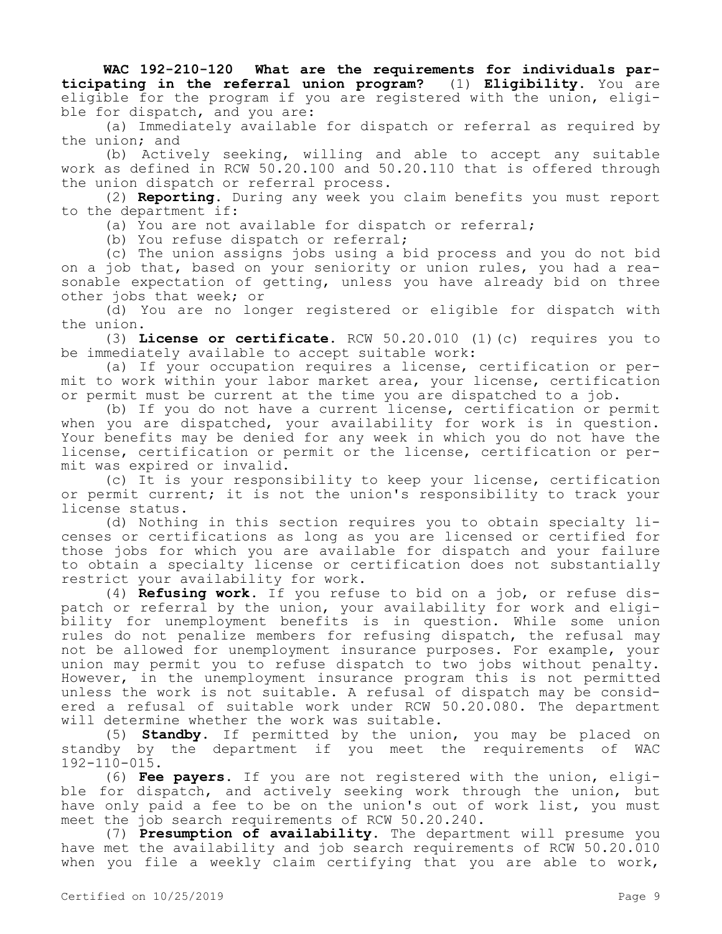**WAC 192-210-120 What are the requirements for individuals participating in the referral union program?** (1) **Eligibility.** You are eligible for the program if you are registered with the union, eligible for dispatch, and you are:

(a) Immediately available for dispatch or referral as required by the union; and

(b) Actively seeking, willing and able to accept any suitable work as defined in RCW 50.20.100 and 50.20.110 that is offered through the union dispatch or referral process.

(2) **Reporting.** During any week you claim benefits you must report to the department if:

(a) You are not available for dispatch or referral;

(b) You refuse dispatch or referral;

(c) The union assigns jobs using a bid process and you do not bid on a job that, based on your seniority or union rules, you had a reasonable expectation of getting, unless you have already bid on three other jobs that week; or

(d) You are no longer registered or eligible for dispatch with the union.

(3) **License or certificate.** RCW 50.20.010 (1)(c) requires you to be immediately available to accept suitable work:

(a) If your occupation requires a license, certification or permit to work within your labor market area, your license, certification or permit must be current at the time you are dispatched to a job.

(b) If you do not have a current license, certification or permit when you are dispatched, your availability for work is in question. Your benefits may be denied for any week in which you do not have the license, certification or permit or the license, certification or permit was expired or invalid.

(c) It is your responsibility to keep your license, certification or permit current; it is not the union's responsibility to track your license status.

(d) Nothing in this section requires you to obtain specialty licenses or certifications as long as you are licensed or certified for those jobs for which you are available for dispatch and your failure to obtain a specialty license or certification does not substantially restrict your availability for work.

(4) **Refusing work.** If you refuse to bid on a job, or refuse dispatch or referral by the union, your availability for work and eligibility for unemployment benefits is in question. While some union rules do not penalize members for refusing dispatch, the refusal may not be allowed for unemployment insurance purposes. For example, your union may permit you to refuse dispatch to two jobs without penalty. However, in the unemployment insurance program this is not permitted unless the work is not suitable. A refusal of dispatch may be considered a refusal of suitable work under RCW 50.20.080. The department will determine whether the work was suitable.

(5) **Standby.** If permitted by the union, you may be placed on standby by the department if you meet the requirements of WAC 192-110-015.

(6) **Fee payers.** If you are not registered with the union, eligible for dispatch, and actively seeking work through the union, but have only paid a fee to be on the union's out of work list, you must meet the job search requirements of RCW 50.20.240.

(7) **Presumption of availability.** The department will presume you have met the availability and job search requirements of RCW 50.20.010 when you file a weekly claim certifying that you are able to work,